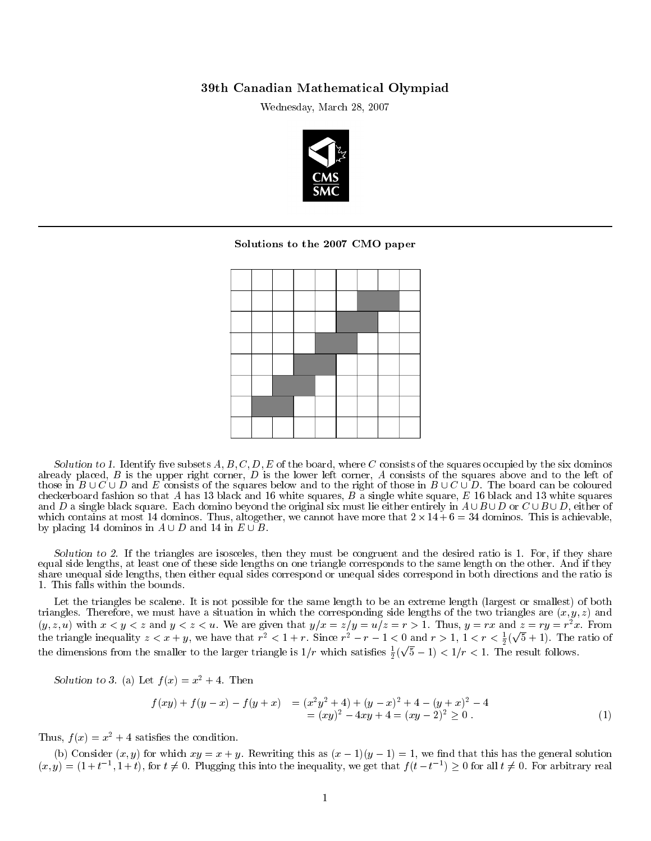## 39th Canadian Mathematical Olympiad

Wednesday, March 28, 2007



## Solutions to the 2007 CMO paper



Solution to 1. Identify five subsets  $A, B, C, D, E$  of the board, where C consists of the squares occupied by the six dominos already placed,  $B$  is the upper right corner,  $D$  is the lower left corner,  $A$  consists of the squares above and to the left of those in  $B \cup C \cup D$  and E consists of the squares below and to the right of those in  $B \cup C \cup D$ . The board can be coloured checkerboard fashion so that A has 13 black and 16 white squares, B a single white square, E 16 black and 13 white squares and D a single black square. Each domino beyond the original six must lie either entirely in  $A \cup B \cup D$  or  $C \cup B \cup D$ , either of which contains at most 14 dominos. Thus, altogether, we cannot have more that  $2 \times 14 + 6 = 34$  dominos. This is achievable, by placing 14 dominos in  $A \cup D$  and 14 in  $E \cup B$ .

Solution to 2. If the triangles are isosceles, then they must be congruent and the desired ratio is 1. For, if they share equal side lengths, at least one of these side lengths on one triangle corresponds to the same length on the other. And if they share unequal side lengths, then either equal sides correspond or unequal sides correspond in both directions and the ratio is 1. This falls within the bounds.

Let the triangles be scalene. It is not possible for the same length to be an extreme length (largest or smallest) of both triangles. Therefore, we must have a situation in which the corresponding side lengths of the two triangles are  $(x, y, z)$  and  $(y, z, u)$  with  $x < y < z$  and  $y < z < u$ . We are given that  $y/x = z/y = u/z = r > 1$ . Thus,  $y = rx$  and  $z = ry = r^2x$ . From the triangle inequality  $z < x + y$ , we have that  $r^2 < 1 + r$ . Since  $r^2 - r - 1 < 0$  and  $r > 1$ ,  $1 < r < \frac{1}{2}$  $\frac{1}{2}$ 0 and  $r > 1$ ,  $1 < r < \frac{1}{2}(\sqrt{5} + 1)$ . The ratio of the dimensions from the smaller to the larger triangle is  $1/r$  which satisfies  $\frac{1}{2}(\sqrt{5}-1) < 1/r < 1$ . The result follows.

Solution to 3. (a) Let  $f(x) = x^2 + 4$ . Then

$$
f(xy) + f(y - x) - f(y + x) = (x2y2 + 4) + (y - x)2 + 4 - (y + x)2 - 4 = (xy)2 - 4xy + 4 = (xy - 2)2 \ge 0.
$$
 (1)

Thus,  $f(x) = x^2 + 4$  satisfies the condition.

(b) Consider  $(x, y)$  for which  $xy = x + y$ . Rewriting this as  $(x - 1)(y - 1) = 1$ , we find that this has the general solution  $(x,y) = (1+t^{-1},1+t)$ , for  $t \neq 0$ . Plugging this into the inequality, we get that  $f(t-t^{-1}) \geq 0$  for all  $t \neq 0$ . For arbitrary real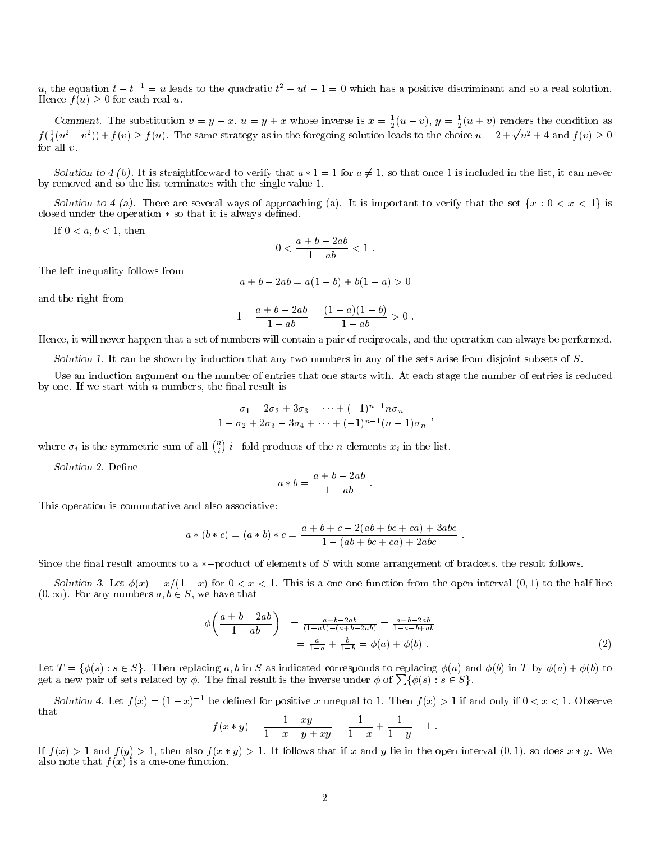u, the equation  $t-t^{-1} = u$  leads to the quadratic  $t^2 - ut - 1 = 0$  which has a positive discriminant and so a real solution. Hence  $f(u) \geq 0$  for each real u.

Comment. The substitution  $v = y - x$ ,  $u = y + x$  whose inverse is  $x = \frac{1}{2}(u - v)$ ,  $y = \frac{1}{2}(u + v)$  renders the condition as Comment. The substitution  $v = y - x$ ,  $u = y + x$  whose inverse is  $x = \frac{1}{2}(u - v)$ ,  $y = \frac{1}{2}(u + v)$  relates the condition as  $f(\frac{1}{4}(u^2 - v^2)) + f(v) \ge f(u)$ . The same strategy as in the foregoing solution leads to the choice  $u = 2 + \$ for all  $v$ .

Solution to 4 (b). It is straightforward to verify that  $a * 1 = 1$  for  $a \neq 1$ , so that once 1 is included in the list, it can never by removed and so the list terminates with the single value 1.

Solution to 4 (a). There are several ways of approaching (a). It is important to verify that the set  $\{x : 0 < x < 1\}$  is closed under the operation  $*$  so that it is always defined.

If  $0 < a, b < 1$ , then

$$
0 < \frac{a+b-2ab}{1-ab} < 1 \; .
$$

The left inequality follows from

$$
a + b - 2ab = a(1 - b) + b(1 - a) > 0
$$

and the right from

$$
1 - \frac{a+b-2ab}{1-ab} = \frac{(1-a)(1-b)}{1-ab} > 0.
$$

Hence, it will never happen that a set of numbers will contain a pair of reciprocals, and the operation can always be performed.

Solution 1. It can be shown by induction that any two numbers in any of the sets arise from disjoint subsets of  $S$ .

Use an induction argument on the number of entries that one starts with. At each stage the number of entries is reduced by one. If we start with  $n$  numbers, the final result is

$$
\frac{\sigma_1 - 2\sigma_2 + 3\sigma_3 - \dots + (-1)^{n-1}n\sigma_n}{1 - \sigma_2 + 2\sigma_3 - 3\sigma_4 + \dots + (-1)^{n-1}(n-1)\sigma_n}
$$

where  $\sigma_i$  is the symmetric sum of all  $\binom{n}{i}$  *i*-fold products of the *n* elements  $x_i$  in the list.

Solution 2. Define

$$
a * b = \frac{a+b-2ab}{1-ab} .
$$

This operation is commutative and also associative:

$$
a * (b * c) = (a * b) * c = \frac{a + b + c - 2(ab + bc + ca) + 3abc}{1 - (ab + bc + ca) + 2abc}.
$$

Since the final result amounts to a  $*$ -product of elements of S with some arrangement of brackets, the result follows.

Solution 3. Let  $\phi(x) = x/(1-x)$  for  $0 < x < 1$ . This is a one-one function from the open interval  $(0,1)$  to the half line  $(0,\infty)$ . For any numbers  $a, b \in S$ , we have that

$$
\phi\left(\frac{a+b-2ab}{1-ab}\right) = \frac{a+b-2ab}{(1-ab)-(a+b-2ab)} = \frac{a+b-2ab}{1-a-b+ab} = \frac{a+b-2ab}{1-a-b+ab} = \frac{a}{1-a} + \frac{b}{1-b} = \phi(a) + \phi(b).
$$
\n(2)

;

Let  $T = \{\phi(s) : s \in S\}$ . Then replacing a, b in S as indicated corresponds to replacing  $\phi(a)$  and  $\phi(b)$  in T by  $\phi(a) + \phi(b)$  to get a new pair of sets related by  $\phi$ . The final result is the inverse under  $\phi$  of  $\sum {\phi(s) : s \in S}$ .

Solution 4. Let  $f(x) = (1-x)^{-1}$  be defined for positive x unequal to 1. Then  $f(x) > 1$  if and only if  $0 < x < 1$ . Observe that

$$
f(x * y) = \frac{1 - xy}{1 - x - y + xy} = \frac{1}{1 - x} + \frac{1}{1 - y} - 1.
$$

If  $f(x) > 1$  and  $f(y) > 1$ , then also  $f(x * y) > 1$ . It follows that if x and y lie in the open interval  $(0, 1)$ , so does  $x * y$ . We also note that  $f(x)$  is a one-one function.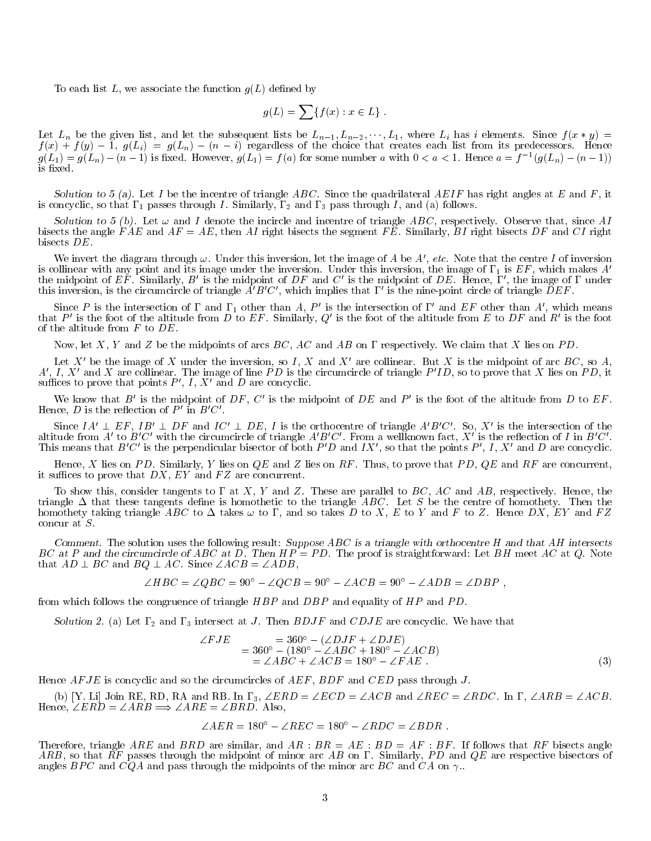To each list L, we associate the function  $g(L)$  defined by

$$
g(L) = \sum \{ f(x) : x \in L \} .
$$

Let  $L_n$  be the given list, and let the subsequent lists be  $L_{n-1}, L_{n-2}, \cdots, L_1$ , where  $L_i$  has i elements. Since  $f(x * y) =$  $f(x) + f(y) - \overline{1}$ ,  $g(L_i) = g(L_i) - (n - i)$  regardless of the choice that creates each list from its predecessors. Hence  $g(L_1) = g(L_n) - (n-1)$  is fixed. However,  $g(L_1) = f(a)$  for some number a with  $0 < a < 1$ . Hence  $a = f^{-1}(g(L_n) - (n-1))$ is fixed.

Solution to 5 (a). Let I be the incentre of triangle ABC. Since the quadrilateral AEIF has right angles at E and F, it is concyclic, so that  $\Gamma_1$  passes through I. Similarly,  $\Gamma_2$  and  $\Gamma_3$  pass through I, and (a) follows.

Solution to 5 (b). Let  $\omega$  and I denote the incircle and incentre of triangle ABC, respectively. Observe that, since AI bisects the angle FAE and  $AF = AE$ , then AI right bisects the segment FE. Similarly, BI right bisects DF and CI right bisects DE.

We invert the diagram through  $\omega$ . Under this inversion, let the image of A be A', etc. Note that the centre I of inversion is collinear with any point and its image under the inversion. Under this inversion, the image of  $\Gamma_1$  is  $EF$ , which makes  $A'$ the midpoint of EF. Similarly, B' is the midpoint of DF and C' is the midpoint of DE. Hence,  $\Gamma'$ , the image of  $\Gamma$  under<br>this inversion, is the circumcircle of triangle  $A'B'C'$ , which implies that  $\Gamma'$  is the nine-poin

Since P is the intersection of  $\Gamma$  and  $\Gamma_1$  other than A, P' is the intersection of  $\Gamma'$  and EF other than A', which means that P' is the foot of the altitude from D to EF. Similarly,  $Q'$  is the foot of the altitude from E to DF and R' is the foot of the altitude from  $F$  to  $DE$ .

Now, let X, Y and Z be the midpoints of arcs  $BC$ , AC and AB on  $\Gamma$  respectively. We claim that X lies on PD.

Let X' be the image of X under the inversion, so I, X and X' are collinear. But X is the midpoint of arc  $BC$ , so A,  $A', I, X'$  and X are collinear. The image of line PD is the circumcircle of triangle  $P'ID$ , so to prove that X lies on PD, it suffices to prove that points  $P'$ ,  $I$ ,  $X'$  and  $D$  are concyclic.

We know that  $B'$  is the midpoint of  $DF, C'$  is the midpoint of  $DE$  and  $P'$  is the foot of the altitude from  $D$  to  $EF$ . Hence,  $D$  is the reflection of  $P'$  in  $B'C'$ .

Since  $IA' \perp EF$ ,  $IB' \perp DF$  and  $IC' \perp DE$ , I is the orthocentre of triangle  $A'B'C'$ . So, X' is the intersection of the altitude from  $A'$  to  $B'C'$  with the circumcircle of triangle  $A'B'C'$ . From a wellknown fact, X' is the refl This means that  $B'C'$  is the perpendicular bisector of both  $P'D$  and  $IX'$ , so that the points  $P'$ ,  $I$ ,  $X'$  and  $D$  are concyclic.

Hence, X lies on PD. Similarly, Y lies on  $QE$  and Z lies on RF. Thus, to prove that PD,  $QE$  and RF are concurrent, it suffices to prove that  $DX$ ,  $EY$  and  $FZ$  are concurrent.

To show this, consider tangents to  $\Gamma$  at X, Y and Z. These are parallel to BC, AC and AB, respectively. Hence, the triangle  $\Delta$  that these tangents define is homothetic to the triangle ABC. Let S be the centre of homothety. Then the homothety taking triangle ABC to  $\Delta$  takes  $\omega$  to  $\Gamma$ , and so takes D to X, E to Y and F to Z. Hence DX, EY and FZ concur at S.

Comment. The solution uses the following result: Suppose  $ABC$  is a triangle with orthocentre H and that AH intersects BC at P and the circumcircle of ABC at D. Then  $HP = PD$ . The proof is straightforward: Let BH meet AC at Q. Note that  $AD \perp BC$  and  $BQ \perp AC$ . Since  $\angle ACB = \angle ADB$ ,

$$
\angle HBC = \angle QBC = 90^{\circ} - \angle QCB = 90^{\circ} - \angle ACB = 90^{\circ} - \angle ADB = \angle DBP,
$$

from which follows the congruence of triangle  $HBP$  and  $DBP$  and equality of  $HP$  and  $PD$ .

Solution 2. (a) Let  $\Gamma_2$  and  $\Gamma_3$  intersect at J. Then  $BDJF$  and  $CDJE$  are concyclic. We have that

$$
\angle FJE = 360^\circ - (\angle DJF + \angle DJE) \n= 360^\circ - (180^\circ - \angle ABC + 180^\circ - \angle ACB) \n= \angle ABC + \angle ACB = 180^\circ - \angle FAE .
$$
\n(3)

Hence  $AFJE$  is concyclic and so the circumcircles of  $AEF$ ,  $BDF$  and  $CED$  pass through J.

(b) [Y. Li] Join RE, RD, RA and RB. In  $\Gamma_3$ ,  $\angle ERD = \angle ECD = \angle ACB$  and  $\angle REC = \angle RDC$ . In  $\Gamma$ ,  $\angle ARB = \angle ACB$ . Hence,  $\angle ERD = \angle ARB \implies \angle ARE = \angle BRD$ . Also,

$$
\angle AER = 180^{\circ} - \angle REC = 180^{\circ} - \angle RDC = \angle BDR .
$$

Therefore, triangle ARE and BRD are similar, and  $AR : BR = AE : BD = AF : BF$ . If follows that RF bisects angle  $ARB$ , so that  $RF$  passes through the midpoint of minor arc  $AB$  on  $\Gamma$ . Similarly,  $PD$  and  $QE$  are respective bisectors of angles BPC and  $\overline{CQA}$  and pass through the midpoints of the minor arc BC and  $\overline{C}A$  on  $\gamma$ .